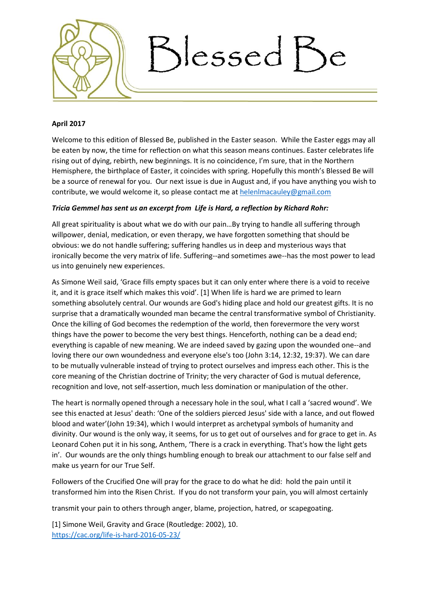

## **April 2017**

Welcome to this edition of Blessed Be, published in the Easter season. While the Easter eggs may all be eaten by now, the time for reflection on what this season means continues. Easter celebrates life rising out of dying, rebirth, new beginnings. It is no coincidence, I'm sure, that in the Northern Hemisphere, the birthplace of Easter, it coincides with spring. Hopefully this month's Blessed Be will be a source of renewal for you. Our next issue is due in August and, if you have anything you wish to contribute, we would welcome it, so please contact me at [helenlmacauley@gmail.com](mailto:helenlmacauley@gmail.com)

# *Tricia Gemmel has sent us an excerpt from Life is Hard, a reflection by Richard Rohr:*

All great spirituality is about what we do with our pain…By trying to handle all suffering through willpower, denial, medication, or even therapy, we have forgotten something that should be obvious: we do not handle suffering; suffering handles us in deep and mysterious ways that ironically become the very matrix of life. Suffering--and sometimes awe--has the most power to lead us into genuinely new experiences.

As Simone Weil said, 'Grace fills empty spaces but it can only enter where there is a void to receive it, and it is grace itself which makes this void'. [1] When life is hard we are primed to learn something absolutely central. Our wounds are God's hiding place and hold our greatest gifts. It is no surprise that a dramatically wounded man became the central transformative symbol of Christianity. Once the killing of God becomes the redemption of the world, then forevermore the very worst things have the power to become the very best things. Henceforth, nothing can be a dead end; everything is capable of new meaning. We are indeed saved by gazing upon the wounded one--and loving there our own woundedness and everyone else's too (John 3:14, 12:32, 19:37). We can dare to be mutually vulnerable instead of trying to protect ourselves and impress each other. This is the core meaning of the Christian doctrine of Trinity; the very character of God is mutual deference, recognition and love, not self-assertion, much less domination or manipulation of the other.

The heart is normally opened through a necessary hole in the soul, what I call a 'sacred wound'. We see this enacted at Jesus' death: 'One of the soldiers pierced Jesus' side with a lance, and out flowed blood and water'(John 19:34), which I would interpret as archetypal symbols of humanity and divinity. Our wound is the only way, it seems, for us to get out of ourselves and for grace to get in. As Leonard Cohen put it in his song, Anthem, 'There is a crack in everything. That's how the light gets in'. Our wounds are the only things humbling enough to break our attachment to our false self and make us yearn for our True Self.

Followers of the Crucified One will pray for the grace to do what he did: hold the pain until it transformed him into the Risen Christ. If you do not transform your pain, you will almost certainly

transmit your pain to others through anger, blame, projection, hatred, or scapegoating.

[1] Simone Weil, Gravity and Grace (Routledge: 2002), 10. <https://cac.org/life-is-hard-2016-05-23/>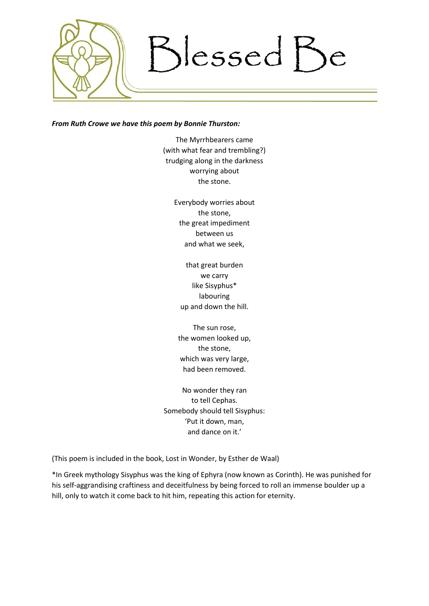

#### *From Ruth Crowe we have this poem by Bonnie Thurston:*

The Myrrhbearers came (with what fear and trembling?) trudging along in the darkness worrying about the stone.

> Everybody worries about the stone, the great impediment between us and what we seek,

that great burden we carry like Sisyphus\* labouring up and down the hill.

The sun rose, the women looked up, the stone, which was very large, had been removed.

No wonder they ran to tell Cephas. Somebody should tell Sisyphus: 'Put it down, man, and dance on it.'

(This poem is included in the book, Lost in Wonder, by Esther de Waal)

\*In Greek mythology Sisyphus was the king of Ephyra (now known as Corinth). He was punished for his self-aggrandising craftiness and deceitfulness by being forced to roll an immense boulder up a hill, only to watch it come back to hit him, repeating this action for eternity.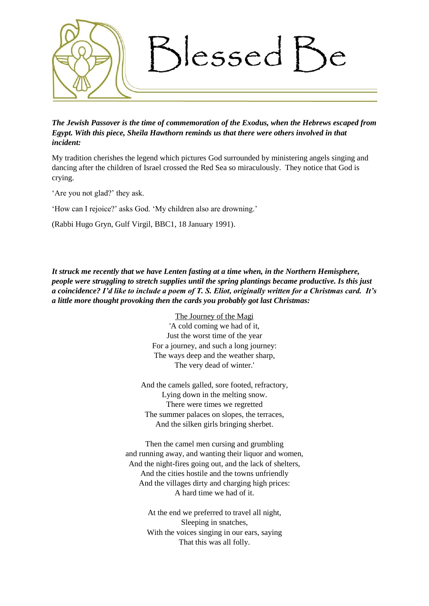

*The Jewish Passover is the time of commemoration of the Exodus, when the Hebrews escaped from Egypt. With this piece, Sheila Hawthorn reminds us that there were others involved in that incident:*

My tradition cherishes the legend which pictures God surrounded by ministering angels singing and dancing after the children of Israel crossed the Red Sea so miraculously. They notice that God is crying.

'Are you not glad?' they ask.

'How can I rejoice?' asks God. 'My children also are drowning.'

(Rabbi Hugo Gryn, Gulf Virgil, BBC1, 18 January 1991).

*It struck me recently that we have Lenten fasting at a time when, in the Northern Hemisphere, people were struggling to stretch supplies until the spring plantings became productive. Is this just a coincidence? I'd like to include a poem of T. S. Eliot, originally written for a Christmas card. It's a little more thought provoking then the cards you probably got last Christmas:*

> The Journey of the Magi 'A cold coming we had of it, Just the worst time of the year For a journey, and such a long journey: The ways deep and the weather sharp, The very dead of winter.'

And the camels galled, sore footed, refractory, Lying down in the melting snow. There were times we regretted The summer palaces on slopes, the terraces, And the silken girls bringing sherbet.

Then the camel men cursing and grumbling and running away, and wanting their liquor and women, And the night-fires going out, and the lack of shelters, And the cities hostile and the towns unfriendly And the villages dirty and charging high prices: A hard time we had of it.

> At the end we preferred to travel all night, Sleeping in snatches, With the voices singing in our ears, saying That this was all folly.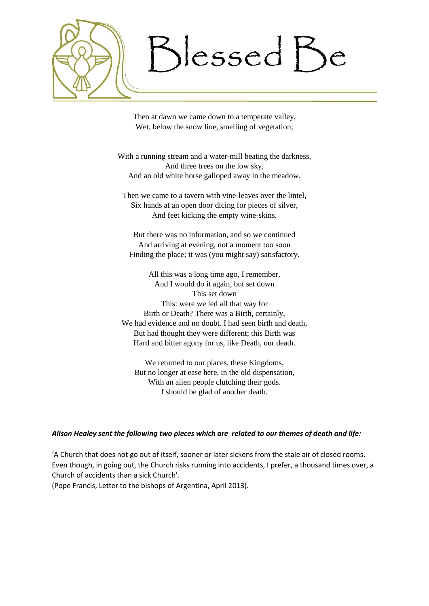)lessed Be

Then at dawn we came down to a temperate valley, Wet, below the snow line, smelling of vegetation;

With a running stream and a water-mill beating the darkness, And three trees on the low sky, And an old white horse galloped away in the meadow.

Then we came to a tavern with vine-leaves over the lintel, Six hands at an open door dicing for pieces of silver, And feet kicking the empty wine-skins.

But there was no information, and so we continued And arriving at evening, not a moment too soon Finding the place; it was (you might say) satisfactory.

All this was a long time ago, I remember, And I would do it again, but set down This set down This: were we led all that way for Birth or Death? There was a Birth, certainly, We had evidence and no doubt. I had seen birth and death, But had thought they were different; this Birth was Hard and bitter agony for us, like Death, our death.

We returned to our places, these Kingdoms, But no longer at ease here, in the old dispensation, With an alien people clutching their gods. I should be glad of another death.

### *Alison Healey sent the following two pieces which are related to our themes of death and life:*

'A Church that does not go out of itself, sooner or later sickens from the stale air of closed rooms. Even though, in going out, the Church risks running into accidents, I prefer, a thousand times over, a Church of accidents than a sick Church'.

(Pope Francis, Letter to the bishops of Argentina, April 2013).